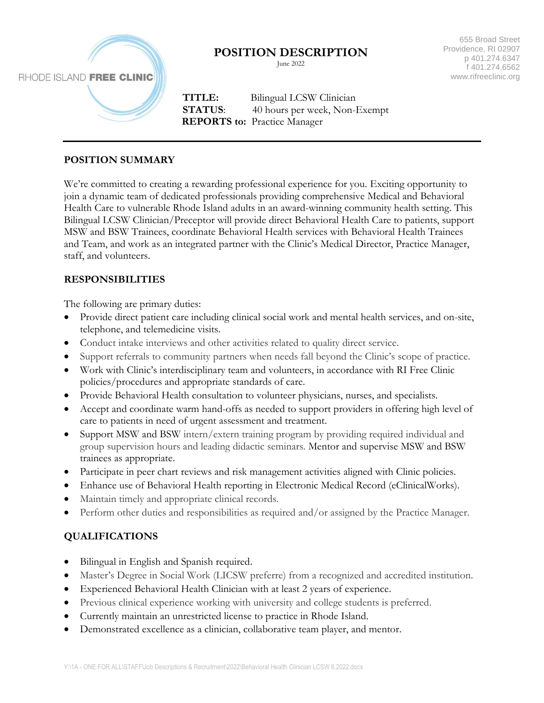

# **POSITION DESCRIPTION**

June 2022

655 Broad Street Providence, RI 02907 p 401.274.6347 f 401.274.6562 www.rifreeclinic.org

 **TITLE:** Bilingual LCSW Clinician **STATUS:** 40 hours per week, Non-Exempt **REPORTS to:** Practice Manager

#### **POSITION SUMMARY**

We're committed to creating a rewarding professional experience for you. Exciting opportunity to join a dynamic team of dedicated professionals providing comprehensive Medical and Behavioral Health Care to vulnerable Rhode Island adults in an award-winning community health setting. This Bilingual LCSW Clinician/Preceptor will provide direct Behavioral Health Care to patients, support MSW and BSW Trainees, coordinate Behavioral Health services with Behavioral Health Trainees and Team, and work as an integrated partner with the Clinic's Medical Director, Practice Manager, staff, and volunteers.

### **RESPONSIBILITIES**

The following are primary duties:

- Provide direct patient care including clinical social work and mental health services, and on-site, telephone, and telemedicine visits.
- Conduct intake interviews and other activities related to quality direct service.
- Support referrals to community partners when needs fall beyond the Clinic's scope of practice.
- Work with Clinic's interdisciplinary team and volunteers, in accordance with RI Free Clinic policies/procedures and appropriate standards of care.
- Provide Behavioral Health consultation to volunteer physicians, nurses, and specialists.
- Accept and coordinate warm hand-offs as needed to support providers in offering high level of care to patients in need of urgent assessment and treatment.
- Support MSW and BSW intern/extern training program by providing required individual and group supervision hours and leading didactic seminars. Mentor and supervise MSW and BSW trainees as appropriate.
- Participate in peer chart reviews and risk management activities aligned with Clinic policies.
- Enhance use of Behavioral Health reporting in Electronic Medical Record (eClinicalWorks).
- Maintain timely and appropriate clinical records.
- Perform other duties and responsibilities as required and/or assigned by the Practice Manager.

## **QUALIFICATIONS**

- Bilingual in English and Spanish required.
- Master's Degree in Social Work (LICSW preferre) from a recognized and accredited institution*.*
- Experienced Behavioral Health Clinician with at least 2 years of experience.
- Previous clinical experience working with university and college students is preferred.
- Currently maintain an unrestricted license to practice in Rhode Island.
- Demonstrated excellence as a clinician, collaborative team player, and mentor.